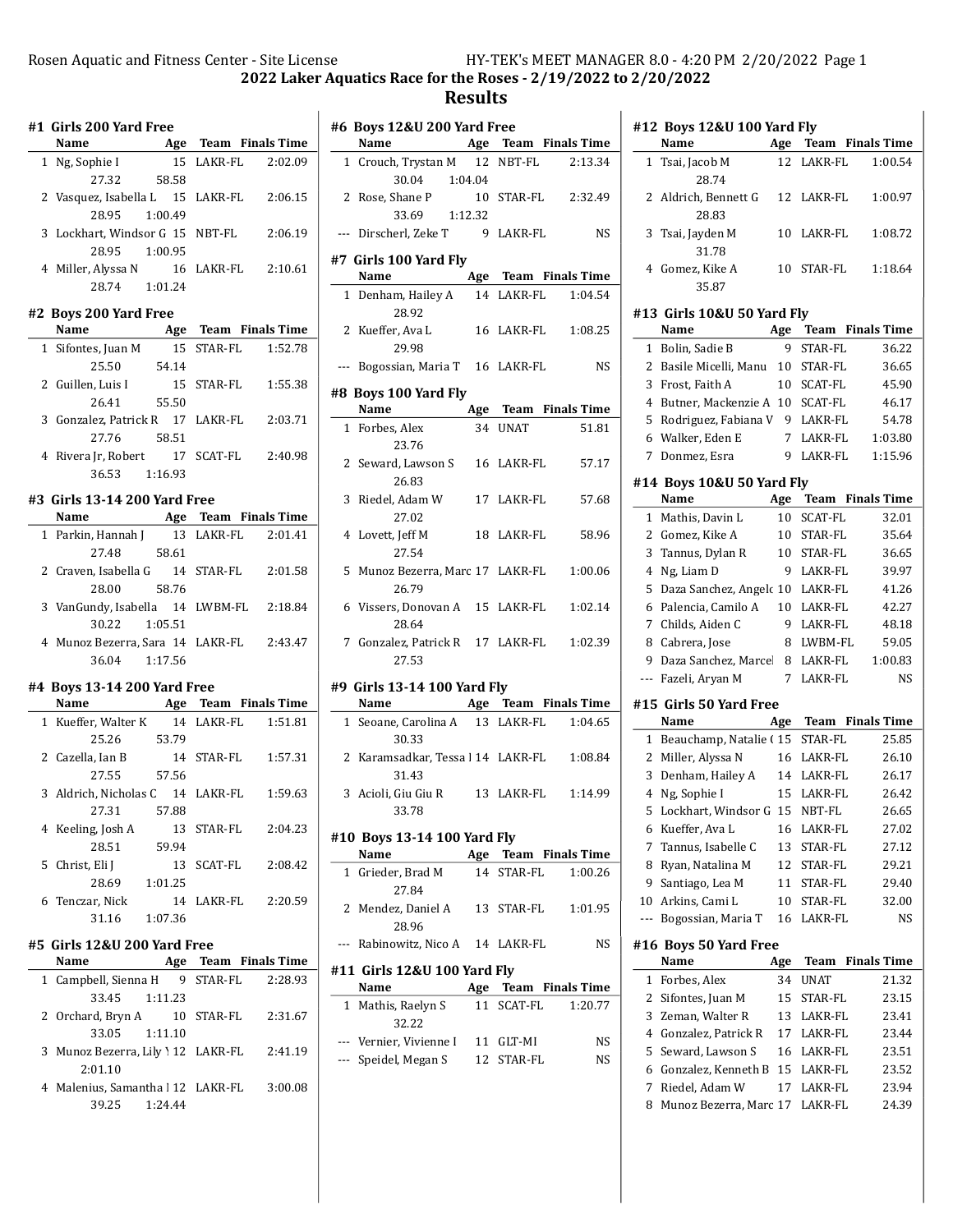2022 Laker Aquatics Race for the Roses - 2/19/2022 to 2/20/2022

### Results

| #1 Girls 200 Yard Free |                                                                           |                       |  |  |  |
|------------------------|---------------------------------------------------------------------------|-----------------------|--|--|--|
|                        | Name                                                                      | Age Team Finals Time  |  |  |  |
|                        | 1 Ng, Sophie I                                                            | 15 LAKR-FL 2:02.09    |  |  |  |
|                        | 58.58<br>27.32                                                            |                       |  |  |  |
|                        | 2 Vasquez, Isabella L 15 LAKR-FL                                          | 2:06.15               |  |  |  |
|                        | 1:00.49<br>28.95                                                          |                       |  |  |  |
|                        | 3 Lockhart, Windsor G 15 NBT-FL                                           | 2:06.19               |  |  |  |
|                        | 28.95 1:00.95                                                             |                       |  |  |  |
|                        | 4 Miller, Alyssa N 16 LAKR-FL 2:10.61                                     |                       |  |  |  |
|                        | 28.74  1:01.24                                                            |                       |  |  |  |
|                        |                                                                           |                       |  |  |  |
|                        | #2 Boys 200 Yard Free                                                     |                       |  |  |  |
|                        | Name <b>Age Team Finals Time</b><br>Sifontes, Juan M 15 STAR-FL 1:52.78   |                       |  |  |  |
|                        | 1 Sifontes, Juan M                                                        |                       |  |  |  |
|                        | 54.14<br>25.50                                                            |                       |  |  |  |
|                        | 2 Guillen, Luis I                                                         | 15 STAR-FL<br>1:55.38 |  |  |  |
|                        | 55.50<br>26.41                                                            |                       |  |  |  |
|                        | 3 Gonzalez, Patrick R 17 LAKR-FL 2:03.71                                  |                       |  |  |  |
|                        | 27.76 58.51                                                               |                       |  |  |  |
|                        | 4 Rivera Jr, Robert 17 SCAT-FL 2:40.98                                    |                       |  |  |  |
|                        | 36.53 1:16.93                                                             |                       |  |  |  |
|                        | #3 Girls 13-14 200 Yard Free                                              |                       |  |  |  |
|                        |                                                                           |                       |  |  |  |
|                        | <b>Name Age Team Finals Time</b><br>1 Parkin, Hannah J 13 LAKR-FL 2:01.41 |                       |  |  |  |
|                        | $27.48$ 58.61                                                             |                       |  |  |  |
|                        | 2 Craven, Isabella G 14 STAR-FL 2:01.58                                   |                       |  |  |  |
|                        | 28.00 58.76                                                               |                       |  |  |  |
|                        | 3 VanGundy, Isabella 14 LWBM-FL 2:18.84                                   |                       |  |  |  |
|                        | 30.22 1:05.51                                                             |                       |  |  |  |
|                        | 4 Munoz Bezerra, Sara 14 LAKR-FL 2:43.47                                  |                       |  |  |  |
|                        | 36.04 1:17.56                                                             |                       |  |  |  |
|                        |                                                                           |                       |  |  |  |
|                        | #4 Boys 13-14 200 Yard Free                                               |                       |  |  |  |
|                        | Name Age Team Finals Time                                                 |                       |  |  |  |
|                        | 1 Kueffer, Walter K 14 LAKR-FL 1:51.81                                    |                       |  |  |  |
|                        | 25.26 53.79                                                               |                       |  |  |  |
|                        | 2 Cazella, Ian B                                                          | 14 STAR-FL<br>1:57.31 |  |  |  |
|                        | 27.55 57.56                                                               |                       |  |  |  |
|                        | 3 Aldrich, Nicholas C 14 LAKR-FL 1:59.63                                  |                       |  |  |  |
|                        | 27.31<br>57.88                                                            |                       |  |  |  |
|                        | 4 Keeling, Josh A                                                         | 13 STAR-FL<br>2:04.23 |  |  |  |
|                        | 28.51<br>59.94                                                            |                       |  |  |  |
|                        | 5   Christ, Eli J                                                         | 13 SCAT-FL<br>2:08.42 |  |  |  |
|                        | 28.69<br>1:01.25                                                          |                       |  |  |  |
|                        | 6 Tenczar, Nick                                                           | 14 LAKR-FL<br>2:20.59 |  |  |  |
|                        | 31.16<br>1:07.36                                                          |                       |  |  |  |
|                        |                                                                           |                       |  |  |  |
|                        | #5 Girls 12&U 200 Yard Free                                               |                       |  |  |  |
|                        |                                                                           |                       |  |  |  |
|                        | Name Mage Team Finals Time                                                | 2:28.93               |  |  |  |
|                        | 1 Campbell, Sienna H 9 STAR-FL<br>1:11.23                                 |                       |  |  |  |
| $\mathbf{2}$           | 33.45<br>Orchard, Bryn A 10 STAR-FL                                       | 2:31.67               |  |  |  |

- 3 Munoz Bezerra, Lily Y 12 LAKR-FL 2:41.19 2:01.10
- 4 Malenius, Samantha | 12 LAKR-FL 3:00.08 39.25 1:24.44

|              | #6 Boys 12&U 200 Yard Free                 |     |            |                      |
|--------------|--------------------------------------------|-----|------------|----------------------|
|              | Name                                       |     |            | Age Team Finals Time |
|              | 1 Crouch, Trystan M 12 NBT-FL              |     |            | 2:13.34              |
|              | 30.04 1:04.04                              |     |            |                      |
|              | 2 Rose, Shane P                            |     |            | 10 STAR-FL 2:32.49   |
|              | 33.69 1:12.32                              |     |            |                      |
|              | --- Dirscherl, Zeke T 9 LAKR-FL            |     |            | <b>NS</b>            |
|              | #7 Girls 100 Yard Fly                      |     |            |                      |
|              | Name                                       |     |            | Age Team Finals Time |
|              | 1 Denham, Hailey A                         |     |            | 14 LAKR-FL  1:04.54  |
|              | 28.92                                      |     |            |                      |
|              | 2 Kueffer, Ava L<br>29.98                  |     | 16 LAKR-FL | 1:08.25              |
|              | --- Bogossian, Maria T 16 LAKR-FL          |     |            | <b>NS</b>            |
|              | #8 Boys 100 Yard Fly                       |     |            |                      |
|              | Name                                       |     |            | Age Team Finals Time |
|              | 1 Forbes, Alex<br>23.76                    |     | 34 UNAT    | 51.81                |
|              | 2 Seward, Lawson S 16 LAKR-FL<br>26.83     |     |            | 57.17                |
|              | 3 Riedel, Adam W<br>27.02                  |     | 17 LAKR-FL | 57.68                |
|              | 4 Lovett, Jeff M 18 LAKR-FL<br>27.54       |     |            | 58.96                |
|              | 5 Munoz Bezerra, Marc 17 LAKR-FL<br>26.79  |     |            | 1:00.06              |
|              | 6 Vissers, Donovan A 15 LAKR-FL<br>28.64   |     |            | 1:02.14              |
|              | 7 Gonzalez, Patrick R 17 LAKR-FL<br>27.53  |     |            | 1:02.39              |
|              |                                            |     |            |                      |
|              | #9 Girls 13-14 100 Yard Fly                |     |            | Age Team Finals Time |
|              | Name                                       |     |            | 1:04.65              |
|              | 1 Seoane, Carolina A 13 LAKR-FL<br>30.33   |     |            |                      |
|              | 2 Karamsadkar, Tessa l 14 LAKR-FL<br>31.43 |     |            | 1:08.84              |
|              | 3 Acioli, Giu Giu R 13 LAKR-FL<br>33.78    |     |            | 1:14.99              |
|              |                                            |     |            |                      |
|              | #10 Boys 13-14 100 Yard Fly                |     |            |                      |
|              | Name                                       |     |            | Age Team Finals Time |
| $\mathbf{1}$ | Grieder, Brad M<br>27.84                   | 14  | STAR-FL    | 1:00.26              |
| 2            | Mendez, Daniel A<br>28.96                  | 13  | STAR-FL    | 1:01.95              |
| $---$        | Rabinowitz, Nico A                         |     | 14 LAKR-FL | NS                   |
|              | #11 Girls 12&U 100 Yard Fly                |     |            |                      |
|              | Name                                       | Age |            | Team Finals Time     |
| 1            | Mathis, Raelyn S<br>32.22                  | 11  | SCAT-FL    | 1:20.77              |

| 32.22                   |            |     |
|-------------------------|------------|-----|
| --- Vernier. Vivienne I | 11 GLT-MI  | NS. |
| --- Speidel, Megan S    | 12 STAR-FL | NS. |

|              | #12 Boys 12&U 100 Yard Fly<br>Name                     | Age                  |                    | <b>Team</b> Finals Time |
|--------------|--------------------------------------------------------|----------------------|--------------------|-------------------------|
| 1            | Tsai, Jacob M                                          | 12                   | LAKR-FL            | 1:00.54                 |
|              | 28.74                                                  |                      |                    |                         |
|              | 2 Aldrich, Bennett G<br>28.83                          |                      | 12 LAKR-FL         | 1:00.97                 |
| 3            | Tsai, Jayden M<br>31.78                                |                      | 10 LAKR-FL         | 1:08.72                 |
|              | 4 Gomez, Kike A<br>35.87                               |                      | 10 STAR-FL         | 1:18.64                 |
|              | #13 Girls 10&U 50 Yard Fly<br>Name                     | Age                  |                    | Team Finals Time        |
| 1            | Bolin, Sadie B                                         | 9                    | <b>STAR-FL</b>     | 36.22                   |
|              | 2 Basile Micelli, Manu                                 | 10                   | STAR-FL            | 36.65                   |
|              | 3 Frost, Faith A                                       | 10                   | SCAT-FL            | 45.90                   |
|              | 4 Butner, Mackenzie A 10 SCAT-FL                       |                      |                    | 46.17                   |
|              | 5 Rodriguez, Fabiana V                                 |                      | 9 LAKR-FL          | 54.78                   |
|              | 6 Walker, Eden E                                       | $7\overline{ }$      | LAKR-FL            | 1:03.80                 |
|              | 7 Donmez, Esra                                         | 9                    | LAKR-FL            | 1:15.96                 |
|              | #14 Boys 10&U 50 Yard Fly<br>Name                      |                      |                    |                         |
|              |                                                        | Age                  |                    | Team Finals Time        |
|              | 1 Mathis, Davin L                                      | 10                   | <b>SCAT-FL</b>     | 32.01                   |
|              | 2 Gomez, Kike A                                        | 10                   | STAR-FL            | 35.64                   |
|              | 3 Tannus, Dylan R                                      | 10                   | STAR-FL            | 36.65                   |
|              | 4 Ng, Liam D                                           |                      | 9 LAKR-FL          | 39.97                   |
|              | 5 Daza Sanchez, Angelc 10 LAKR-FL                      |                      |                    | 41.26                   |
|              | 6 Palencia, Camilo A                                   |                      | 10 LAKR-FL         | 42.27                   |
|              | 7 Childs, Aiden C                                      | 9                    | LAKR-FL            | 48.18                   |
|              | 8 Cabrera, Jose                                        |                      | 8 LWBM-FL          | 59.05                   |
|              | 9 Daza Sanchez, Marcel<br>--- Fazeli, Aryan M          | 8<br>$7\overline{ }$ | LAKR-FL<br>LAKR-FL | 1:00.83<br><b>NS</b>    |
|              | #15 Girls 50 Yard Free<br>Name                         |                      |                    |                         |
|              |                                                        |                      |                    | Age Team Finals Time    |
|              | 1 Beauchamp, Natalie (15 STAR-FL<br>2 Miller, Alyssa N |                      | 16 LAKR-FL         | 25.85                   |
|              | 3 Denham, Hailey A                                     |                      | 14 LAKR-FL         | 26.10<br>26.17          |
| 4            | Ng, Sophie I                                           | 15                   | LAKR-FL            | 26.42                   |
| 5            | Lockhart, Windsor G                                    | 15                   | NBT-FL             | 26.65                   |
| 6            | Kueffer, Ava L                                         | 16                   | LAKR-FL            | 27.02                   |
| 7            | Tannus, Isabelle C                                     | 13                   | STAR-FL            | 27.12                   |
| 8            | Ryan, Natalina M                                       | 12                   | STAR-FL            | 29.21                   |
| 9            | Santiago, Lea M                                        | 11                   | STAR-FL            | 29.40                   |
| 10           | Arkins, Cami L                                         | 10                   | STAR-FL            | 32.00                   |
| ---          | Bogossian, Maria T                                     | 16                   | LAKR-FL            | NS                      |
|              | #16 Boys 50 Yard Free<br>Name                          |                      |                    | <b>Finals Time</b>      |
|              |                                                        | Age                  | Team               |                         |
| $\mathbf{1}$ | Forbes, Alex                                           | 34                   | UNAT               | 21.32                   |
| 2            | Sifontes, Juan M<br>Zeman, Walter R                    | 15                   | STAR-FL            | 23.15                   |
| 3            | 4 Gonzalez, Patrick R                                  | 13<br>17             | LAKR-FL<br>LAKR-FL | 23.41<br>23.44          |
| 5            | Seward, Lawson S                                       | 16                   | LAKR-FL            | 23.51                   |
| 6            | Gonzalez, Kenneth B                                    | 15                   | LAKR-FL            | 23.52                   |
| 7            | Riedel, Adam W                                         | 17                   | LAKR-FL            | 23.94                   |
| 8            | Munoz Bezerra, Marc 17                                 |                      | LAKR-FL            | 24.39                   |
|              |                                                        |                      |                    |                         |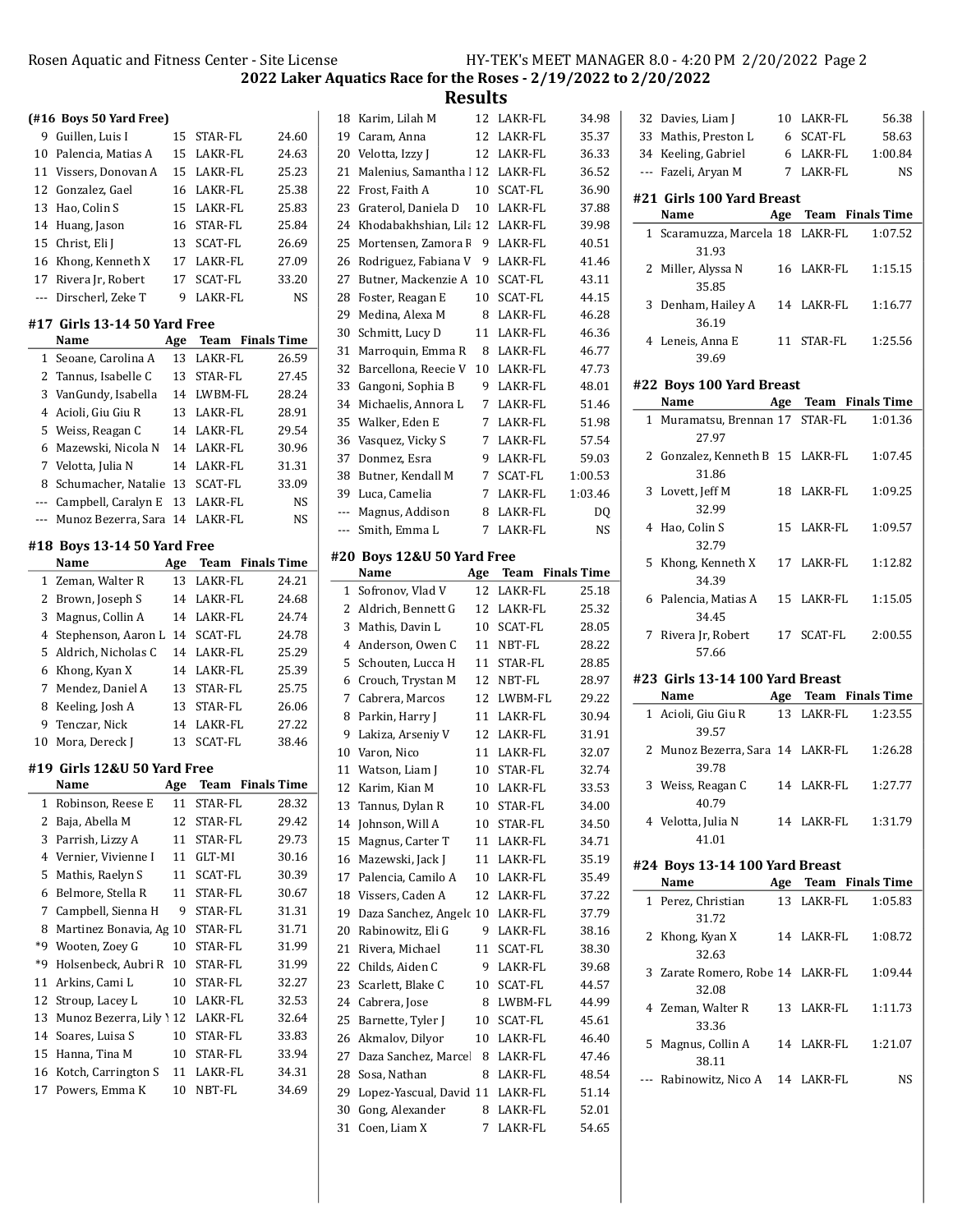2022 Laker Aquatics Race for the Roses - 2/19/2022 to 2/20/2022

Results

|       | (#16 Boys 50 Yard Free)        |            |                      |                    | 18         |
|-------|--------------------------------|------------|----------------------|--------------------|------------|
| 9     | Guillen, Luis I                | 15         | STAR-FL              | 24.60              | 19         |
| 10    | Palencia, Matias A             | 15         | LAKR-FL              | 24.63              | 20         |
| 11    | Vissers, Donovan A             | 15         | LAKR-FL              | 25.23              | 21         |
| 12    | Gonzalez, Gael                 | 16         | LAKR-FL              | 25.38              | 22         |
| 13    | Hao, Colin S                   | 15         | LAKR-FL              | 25.83              | 23         |
| 14    | Huang, Jason                   | 16         | STAR-FL              | 25.84              | 24         |
| 15    | Christ, Eli J                  | 13         | SCAT-FL              | 26.69              | 25         |
| 16    | Khong, Kenneth X               |            | 17 LAKR-FL           | 27.09              | 26         |
|       | 17 Rivera Jr, Robert           | 17         | SCAT-FL              | 33.20              | 27         |
| $---$ | Dirscherl, Zeke T              | 9          | LAKR-FL              | NS                 | 28         |
|       | #17  Girls 13-14 50 Yard Free  |            |                      |                    | 29<br>30   |
|       | Name                           |            | Age Team Finals Time |                    | 31         |
| 1     | Seoane, Carolina A             |            | 13 LAKR-FL           | 26.59              | 32         |
| 2     | Tannus, Isabelle C             |            | 13 STAR-FL           | 27.45              | 33         |
| 3     | VanGundy, Isabella             |            | 14 LWBM-FL           | 28.24              | 34         |
| 4     | Acioli, Giu Giu R              |            | 13 LAKR-FL           | 28.91              | 35         |
| 5     | Weiss, Reagan C                |            | 14 LAKR-FL           | 29.54              | 36         |
| 6     | Mazewski, Nicola N             |            | 14 LAKR-FL           | 30.96              | 37         |
| 7     | Velotta, Julia N               |            | 14 LAKR-FL           | 31.31              | 38         |
| 8     | Schumacher, Natalie 13 SCAT-FL |            |                      | 33.09              | Зç         |
| ---   | Campbell, Caralyn E            |            | 13 LAKR-FL           | NS                 | ---        |
| ---   | Munoz Bezerra, Sara 14 LAKR-FL |            |                      | NS                 | ---        |
|       | #18 Boys 13-14 50 Yard Free    |            |                      |                    |            |
|       | Name                           |            | Age Team Finals Time |                    | #2         |
| 1     | Zeman, Walter R                | 13         | LAKR-FL              | 24.21              |            |
| 2     | Brown, Joseph S                |            | 14 LAKR-FL           | 24.68              | 1          |
| 3     | Magnus, Collin A               |            | 14 LAKR-FL           | 24.74              | 2          |
| 4     | Stephenson, Aaron L            |            | 14 SCAT-FL           | 24.78              | 3          |
| 5     | Aldrich, Nicholas C            |            | 14 LAKR-FL           | 25.29              | 4          |
| 6     | Khong, Kyan X                  |            | 14 LAKR-FL           | 25.39              | 5          |
| 7     | Mendez, Daniel A               | 13         | STAR-FL              | 25.75              | $\epsilon$ |
| 8     | Keeling, Josh A                | 13         | STAR-FL              | 26.06              | 7          |
| 9     | Tenczar, Nick                  |            | 14 LAKR-FL           | 27.22              | ε          |
| 10    | Mora, Dereck J                 | 13         | SCAT-FL              | 38.46              | ç          |
|       | #19 Girls 12&U 50 Yard Free    |            |                      |                    | 10         |
|       | Name                           | <u>Age</u> | Team                 | <b>Finals Time</b> | 11<br>12   |
| 1     | Robinson, Reese E              | 11         | STAR-FL              | 28.32              | 13         |
| 2     | Baja, Abella M                 | 12         | STAR-FL              | 29.42              | 14         |
| 3     | Parrish, Lizzy A               | 11         | STAR-FL              | 29.73              | 15         |
| 4     | Vernier, Vivienne I            | 11         | GLT-MI               | 30.16              | 16         |
| 5     | Mathis, Raelyn S               | 11         | SCAT-FL              | 30.39              | 17         |
| 6     | Belmore, Stella R              | 11         | STAR-FL              | 30.67              | 18         |
| 7     | Campbell, Sienna H             | 9          | STAR-FL              | 31.31              | 19         |
| 8     | Martinez Bonavia, Ag 10        |            | STAR-FL              | 31.71              | 20         |
| *9    | Wooten, Zoey G                 | 10         | STAR-FL              | 31.99              | 21         |
| *9    | Holsenbeck, Aubri R            | 10         | STAR-FL              | 31.99              | 22         |
| 11    | Arkins, Cami L                 | 10         | STAR-FL              | 32.27              | 23         |
| 12    | Stroup, Lacey L                | 10         | LAKR-FL              | 32.53              | 24         |
| 13    | Munoz Bezerra, Lily 12         |            | LAKR-FL              | 32.64              | 25         |
| 14    | Soares, Luisa S                | 10         | STAR-FL              | 33.83              | 26         |
| 15    | Hanna, Tina M                  | 10         | STAR-FL              | 33.94              | 27         |
| 16    | Kotch, Carrington S            | 11         | LAKR-FL              | 34.31              | 28         |
| 17    | Powers, Emma K                 | 10         | NBT-FL               | 34.69              | 29         |
|       |                                |            |                      |                    |            |

| 18             | Karim, Lilah M                  | 12  | LAKR-FL        | 34.98              |
|----------------|---------------------------------|-----|----------------|--------------------|
| 19             | Caram, Anna                     | 12  | LAKR-FL        | 35.37              |
| 20             | Velotta, Izzy J                 | 12  | LAKR-FL        | 36.33              |
| 21             | Malenius, Samantha 112          |     | LAKR-FL        | 36.52              |
| 22             | Frost, Faith A                  | 10  | SCAT-FL        | 36.90              |
| 23             | Graterol, Daniela D             | 10  | LAKR-FL        | 37.88              |
| 24             | Khodabakhshian, Lila 12         |     | LAKR-FL        | 39.98              |
| 25             | Mortensen, Zamora F             | 9   | LAKR-FL        | 40.51              |
| 26             | Rodriguez, Fabiana V            | 9   | LAKR-FL        | 41.46              |
| 27             | Butner, Mackenzie A             | 10  | SCAT-FL        | 43.11              |
| 28             | Foster, Reagan E                | 10  | SCAT-FL        | 44.15              |
| 29             | Medina, Alexa M                 | 8   | LAKR-FL        | 46.28              |
| 30             | Schmitt, Lucy D                 | 11  | LAKR-FL        | 46.36              |
| 31             | Marroquin, Emma R               | 8   | LAKR-FL        | 46.77              |
| 32             | Barcellona, Reecie V            | 10  | LAKR-FL        | 47.73              |
| 33             | Gangoni, Sophia B               | 9   | LAKR-FL        | 48.01              |
| 34             | Michaelis, Annora L             | 7   | LAKR-FL        | 51.46              |
| 35             | Walker, Eden E                  | 7   | LAKR-FL        | 51.98              |
| 36             | Vasquez, Vicky S                | 7   | LAKR-FL        | 57.54              |
| 37             | Donmez, Esra                    | 9   | LAKR-FL        | 59.03              |
| 38             | Butner, Kendall M               | 7   | SCAT-FL        | 1:00.53            |
| 39             | Luca, Camelia                   | 7   | LAKR-FL        | 1:03.46            |
| $\overline{a}$ | Magnus, Addison                 | 8   | LAKR-FL        | DO                 |
| ---            | Smith, Emma L                   | 7   | LAKR-FL        | <b>NS</b>          |
|                |                                 |     |                |                    |
|                | #20 Bovs 12&U 50 Yard Free      |     |                |                    |
|                | Name                            | Age | Team           | <b>Finals Time</b> |
| 1              | Sofronov, Vlad V                | 12  | LAKR-FL        | 25.18              |
| 2              | Aldrich, Bennett G              | 12  | LAKR-FL        | 25.32              |
|                |                                 |     |                |                    |
| 3              | Mathis, Davin L                 | 10  | SCAT-FL        | 28.05              |
| 4              |                                 | 11  | NBT-FL         | 28.22              |
| 5              | Anderson, Owen C                | 11  | STAR-FL        | 28.85              |
| 6              | Schouten, Lucca H               | 12  | NBT-FL         |                    |
| 7              | Crouch, Trystan M               | 12  | LWBM-FL        | 28.97              |
|                | Cabrera, Marcos                 |     |                | 29.22              |
| 8              | Parkin, Harry J                 | 11  | LAKR-FL        | 30.94              |
| 9              | Lakiza, Arseniy V               | 12  | LAKR-FL        | 31.91              |
| 10             | Varon, Nico                     | 11  | LAKR-FL        | 32.07              |
| 11             | Watson, Liam J                  | 10  | STAR-FL        | 32.74              |
| 12             | Karim, Kian M                   | 10  | LAKR-FL        | 33.53              |
| 13             | fannus, Dylan R                 | 10  | STAR-FL        | 34.00              |
| 14             | Johnson, Will A                 | 10  | STAR-FL        | 34.50              |
| 15             | Magnus, Carter T                | 11  | LAKR-FL        | 34.71              |
| 16             | Mazewski, Jack J                | 11  | LAKR-FL        | 35.19              |
| 17             | Palencia, Camilo A              | 10  | LAKR-FL        | 35.49              |
| 18             | Vissers, Caden A                | 12  | LAKR-FL        | 37.22              |
| 19             | Daza Sanchez, Angelc 10         |     | LAKR-FL        | 37.79              |
| 20             | Rabinowitz, Eli G               | 9   | LAKR-FL        | 38.16              |
| 21             | Rivera, Michael                 | 11  | SCAT-FL        | 38.30              |
| 22             | Childs, Aiden C                 | 9   | LAKR-FL        | 39.68              |
| 23             | Scarlett, Blake C               | 10  | <b>SCAT-FL</b> | 44.57              |
| 24             | Cabrera, Jose                   | 8   | LWBM-FL        | 44.99              |
| 25             | Barnette, Tyler J               | 10  | SCAT-FL        | 45.61              |
| 26             | Akmalov, Dilyor                 | 10  | LAKR-FL        | 46.40              |
| 27             | Daza Sanchez, Marcel            | 8   | LAKR-FL        | 47.46              |
| 28             | Sosa, Nathan                    | 8   | LAKR-FL        | 48.54              |
| 29             | Lopez-Yascual, David 11         |     | LAKR-FL        | 51.14              |
| 30             | Gong, Alexander<br>Coen, Liam X | 8   | LAKR-FL        | 52.01<br>54.65     |

|             | 32 Davies, Liam J                         |    | 10 LAKR-FL           | 56.38     |
|-------------|-------------------------------------------|----|----------------------|-----------|
|             | 33 Mathis, Preston L                      |    | 6 SCAT-FL            | 58.63     |
|             | 34 Keeling, Gabriel                       |    | 6 LAKR-FL            | 1:00.84   |
|             | --- Fazeli, Aryan M                       |    | 7 LAKR-FL            | <b>NS</b> |
|             | #21 Girls 100 Yard Breast                 |    |                      |           |
|             | Name                                      |    | Age Team Finals Time |           |
| $1\,$       | Scaramuzza, Marcela 18 LAKR-FL            |    |                      | 1:07.52   |
|             | 31.93                                     |    |                      |           |
|             | 2 Miller, Alyssa N<br>35.85               |    | 16 LAKR-FL           | 1:15.15   |
| 3           | Denham, Hailey A<br>36.19                 |    | 14 LAKR-FL           | 1:16.77   |
|             | 4 Leneis, Anna E<br>39.69                 |    | 11 STAR-FL           | 1:25.56   |
|             | #22 Boys 100 Yard Breast                  |    |                      |           |
|             | Name                                      |    | Age Team Finals Time |           |
|             | 1 Muramatsu, Brennan 17 STAR-FL<br>27.97  |    |                      | 1:01.36   |
|             | 2 Gonzalez, Kenneth B 15 LAKR-FL<br>31.86 |    |                      | 1:07.45   |
| 3           | Lovett, Jeff M<br>32.99                   |    | 18 LAKR-FL           | 1:09.25   |
| 4           | Hao, Colin S<br>32.79                     | 15 | LAKR-FL              | 1:09.57   |
| 5           | Khong, Kenneth X<br>34.39                 |    | 17 LAKR-FL           | 1:12.82   |
|             | 6 Palencia, Matias A<br>34.45             |    | 15 LAKR-FL           | 1:15.05   |
| 7           | Rivera Jr, Robert<br>57.66                |    | 17 SCAT-FL           | 2:00.55   |
|             | #23 Girls 13-14 100 Yard Breast           |    |                      |           |
|             | Name                                      |    | Age Team Finals Time |           |
|             | 1 Acioli, Giu Giu R<br>39.57              |    | 13 LAKR-FL           | 1:23.55   |
|             | 2 Munoz Bezerra, Sara 14 LAKR-FL<br>39.78 |    |                      | 1:26.28   |
| 3           | Weiss, Reagan C<br>40.79                  |    | 14 LAKR-FL           | 1:27.77   |
|             |                                           |    |                      |           |
|             | 4 Velotta, Julia N<br>41.01               |    | 14 LAKR-FL           | 1:31.79   |
|             |                                           |    |                      |           |
|             | #24 Boys 13-14 100 Yard Breast            |    |                      |           |
|             | Name                                      |    | Age Team Finals Time |           |
| $\mathbf 1$ | Perez, Christian<br>31.72                 |    | 13 LAKR-FL           | 1:05.83   |
| 2           | Khong, Kyan X<br>32.63                    |    | 14 LAKR-FL           | 1:08.72   |
| 3           | Zarate Romero, Robe 14 LAKR-FL<br>32.08   |    |                      | 1:09.44   |
| $4^{\circ}$ | Zeman, Walter R<br>33.36                  |    | 13 LAKR-FL           | 1:11.73   |
| 5.          | Magnus, Collin A<br>38.11                 |    | 14 LAKR-FL           | 1:21.07   |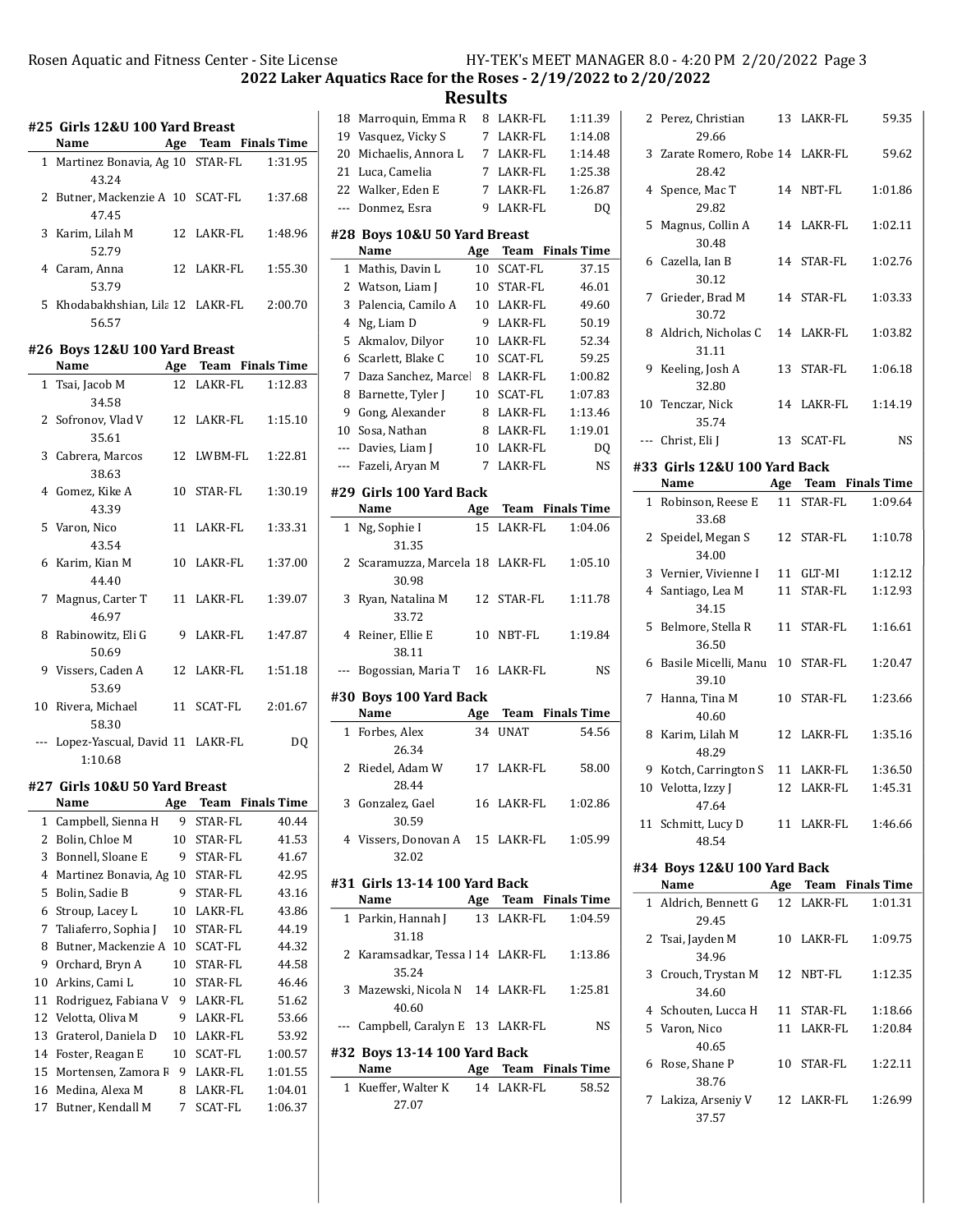## Rosen Aquatic and Fitness Center - Site License HY-TEK's MEET MANAGER 8.0 - 4:20 PM 2/20/2022 Page 3

 $\overline{a}$ 

 $\overline{a}$ 

2022 Laker Aquatics Race for the Roses - 2/19/2022 to 2/20/2022

Results

|              | #25 Girls 12&U 100 Yard Breast<br>Name         |     |            | Age Team Finals Time    |
|--------------|------------------------------------------------|-----|------------|-------------------------|
|              |                                                |     |            |                         |
|              | 1 Martinez Bonavia, Ag 10 STAR-FL<br>43.24     |     |            | 1:31.95                 |
|              | 2 Butner, Mackenzie A 10 SCAT-FL<br>47.45      |     |            | 1:37.68                 |
| 3            | Karim, Lilah M<br>52.79                        |     | 12 LAKR-FL | 1:48.96                 |
|              | 4 Caram, Anna<br>53.79                         |     | 12 LAKR-FL | 1:55.30                 |
|              | 5 Khodabakhshian, Lila 12 LAKR-FL<br>56.57     |     |            | 2:00.70                 |
|              | #26 Boys 12&U 100 Yard Breast                  |     |            |                         |
|              | Name                                           |     |            | Age Team Finals Time    |
| $\mathbf{1}$ | Tsai, Jacob M                                  |     | 12 LAKR-FL | 1:12.83                 |
|              | 34.58                                          |     |            |                         |
|              | 2 Sofronov, Vlad V<br>35.61                    |     | 12 LAKR-FL | 1:15.10                 |
|              | 3 Cabrera, Marcos<br>38.63                     | 12  | LWBM-FL    | 1:22.81                 |
|              | 4 Gomez, Kike A<br>43.39                       | 10  | STAR-FL    | 1:30.19                 |
|              | 5 Varon, Nico<br>43.54                         | 11  | LAKR-FL    | 1:33.31                 |
|              | 6 Karim, Kian M<br>44.40                       |     | 10 LAKR-FL | 1:37.00                 |
|              | 7 Magnus, Carter T<br>46.97                    |     | 11 LAKR-FL | 1:39.07                 |
|              | 8 Rabinowitz, Eli G<br>50.69                   |     | 9 LAKR-FL  | 1:47.87                 |
|              | 9 Vissers, Caden A<br>53.69                    |     | 12 LAKR-FL | 1:51.18                 |
|              | 10 Rivera, Michael<br>58.30                    |     | 11 SCAT-FL | 2:01.67                 |
|              | --- Lopez-Yascual, David 11 LAKR-FL<br>1:10.68 |     |            | DQ                      |
|              | #27 Girls 10&U 50 Yard Breast                  |     |            |                         |
|              | Name                                           |     |            | <b>Team</b> Finals Time |
|              |                                                | Age |            |                         |
| 1            | Campbell, Sienna H                             | 9   | STAR-FL    | 40.44                   |
| 2            | Bolin, Chloe M                                 | 10  | STAR-FL    | 41.53                   |
| 3            | Bonnell, Sloane E                              | 9   | STAR-FL    | 41.67                   |
| 4            | Martinez Bonavia, Ag 10                        |     | STAR-FL    | 42.95                   |
| 5            | Bolin, Sadie B                                 | 9   | STAR-FL    | 43.16                   |
| 6            | Stroup, Lacey L                                | 10  | LAKR-FL    | 43.86                   |
| 7            | Taliaferro, Sophia J                           | 10  | STAR-FL    | 44.19                   |
| 8            | Butner, Mackenzie A                            | 10  | SCAT-FL    | 44.32                   |
| 9            | Orchard, Bryn A                                | 10  | STAR-FL    | 44.58                   |
| 10           | Arkins, Cami L                                 | 10  | STAR-FL    | 46.46                   |
| 11           | Rodriguez, Fabiana V                           | 9   | LAKR-FL    | 51.62                   |
| 12           | Velotta, Oliva M                               | 9   | LAKR-FL    | 53.66                   |
| 13           | Graterol, Daniela D                            | 10  | LAKR-FL    | 53.92                   |
| 14           | Foster, Reagan E                               | 10  | SCAT-FL    | 1:00.57                 |
| 15           | Mortensen, Zamora F                            | 9   | LAKR-FL    | 1:01.55                 |
| 16           | Medina, Alexa M                                | 8   | LAKR-FL    | 1:04.01                 |
| 17           | Butner, Kendall M                              | 7   | SCAT-FL    | 1:06.37                 |

| 18           | Marroquin, Emma R                       | 8               | LAKR-FL     | 1:11.39                 |
|--------------|-----------------------------------------|-----------------|-------------|-------------------------|
|              | 19 Vasquez, Vicky S                     | $7\overline{ }$ | LAKR-FL     | 1:14.08                 |
| 20           | Michaelis, Annora L                     |                 | 7 LAKR-FL   | 1:14.48                 |
| 21           | Luca, Camelia                           | $7^{\circ}$     | LAKR-FL     | 1:25.38                 |
| 22           | Walker, Eden E                          | $7^{\circ}$     | LAKR-FL     | 1:26.87                 |
| $---$        | Donmez, Esra                            | 9.              | LAKR-FL     | DQ                      |
|              | #28 Boys 10&U 50 Yard Breast            |                 |             |                         |
|              | Name                                    | Age             | Team        | <b>Finals Time</b>      |
| 1            | Mathis, Davin L                         | 10              | SCAT-FL     | 37.15                   |
| $\mathbf{2}$ | Watson, Liam J                          | 10              | STAR-FL     | 46.01                   |
| 3            | Palencia, Camilo A                      | 10              | LAKR-FL     | 49.60                   |
| 4            | Ng, Liam D                              | 9               | LAKR-FL     | 50.19                   |
| 5            | Akmalov, Dilyor                         |                 | 10 LAKR-FL  | 52.34                   |
| 6            | Scarlett, Blake C                       | 10              | SCAT-FL     | 59.25                   |
| 7            | Daza Sanchez, Marcel                    | 8               | LAKR-FL     | 1:00.82                 |
| 8            | Barnette, Tyler J                       | 10              | SCAT-FL     | 1:07.83                 |
| 9            | Gong, Alexander                         | 8               | LAKR-FL     | 1:13.46                 |
| 10           | Sosa, Nathan                            | 8               | LAKR-FL     | 1:19.01                 |
|              |                                         |                 |             |                         |
|              | --- Davies, Liam J                      | 10              | LAKR-FL     | DQ                      |
|              | --- Fazeli, Aryan M                     | 7               | LAKR-FL     | NS                      |
|              | #29 Girls 100 Yard Back                 |                 |             |                         |
|              | Name                                    | Age             |             | <b>Team</b> Finals Time |
| $\mathbf{1}$ | Ng, Sophie I                            | 15              | LAKR-FL     | 1:04.06                 |
|              | 31.35                                   |                 |             |                         |
| 2            | Scaramuzza, Marcela 18                  |                 | LAKR-FL     | 1:05.10                 |
| 3            | 30.98<br>Ryan, Natalina M               | 12              | STAR-FL     | 1:11.78                 |
|              | 33.72                                   |                 |             |                         |
| 4            | Reiner, Ellie E                         |                 |             |                         |
|              |                                         | 10              | NBT-FL      | 1:19.84                 |
|              |                                         |                 |             |                         |
|              | 38.11                                   |                 |             |                         |
| ---          | Bogossian, Maria T                      | 16              | LAKR-FL     | NS                      |
|              | #30 Boys 100 Yard Back                  |                 |             |                         |
|              | Name                                    | Age             | Team        | <b>Finals Time</b>      |
| $\mathbf{1}$ | Forbes, Alex                            | 34              | <b>UNAT</b> | 54.56                   |
|              | 26.34                                   |                 |             |                         |
| 2            | Riedel, Adam W                          | 17              | LAKR-FL     | 58.00                   |
|              | 28.44                                   |                 |             |                         |
| 3            | Gonzalez, Gael                          |                 | 16 LAKR-FL  | 1:02.86                 |
|              | 30.59                                   |                 |             |                         |
|              | 4 Vissers, Donovan A 15 LAKR-FL 1:05.99 |                 |             |                         |
|              | 32.02                                   |                 |             |                         |
|              | #31 Girls 13-14 100 Yard Back           |                 |             |                         |
|              | Name                                    |                 |             | Age Team Finals Time    |
|              | 1 Parkin, Hannah J                      |                 | 13 LAKR-FL  | 1:04.59                 |
|              | 31.18                                   |                 |             |                         |
| 2            | Karamsadkar, Tessa l 14 LAKR-FL         |                 |             | 1:13.86                 |
|              | 35.24                                   |                 |             |                         |
| 3            | Mazewski, Nicola N 14 LAKR-FL           |                 |             | 1:25.81                 |
|              | 40.60                                   |                 |             |                         |
|              | --- Campbell, Caralyn E 13 LAKR-FL      |                 |             | NS                      |
|              | #32 Boys 13-14 100 Yard Back            |                 |             |                         |
|              | Name                                    |                 |             | Age Team Finals Time    |
|              | 1 Kueffer, Walter K                     |                 | 14 LAKR-FL  | 58.52                   |
|              | 27.07                                   |                 |             |                         |
|              |                                         |                 |             |                         |

|              | 2 Perez, Christian                        |    | 13 LAKR-FL           | 59.35   |
|--------------|-------------------------------------------|----|----------------------|---------|
|              | 29.66<br>3 Zarate Romero, Robe 14 LAKR-FL |    |                      | 59.62   |
|              | 28.42<br>4 Spence, Mac T                  |    | 14 NBT-FL            | 1:01.86 |
|              | 29.82                                     |    |                      |         |
| 5            | Magnus, Collin A<br>30.48                 |    | 14 LAKR-FL           | 1:02.11 |
|              | 6 Cazella, Ian B<br>30.12                 | 14 | STAR-FL              | 1:02.76 |
| 7            | Grieder, Brad M<br>30.72                  |    | 14 STAR-FL           | 1:03.33 |
|              | 8 Aldrich, Nicholas C<br>31.11            |    | 14 LAKR-FL           | 1:03.82 |
| 9            | Keeling, Josh A<br>32.80                  | 13 | STAR-FL              | 1:06.18 |
| 10           | Tenczar, Nick<br>35.74                    |    | 14 LAKR-FL           | 1:14.19 |
|              | --- Christ, Eli J                         | 13 | SCAT-FL              | NS      |
|              | #33 Girls 12&U 100 Yard Back              |    |                      |         |
|              | Name                                      |    | Age Team Finals Time |         |
|              | 1 Robinson, Reese E<br>33.68              |    | 11 STAR-FL           | 1:09.64 |
|              | 2 Speidel, Megan S<br>34.00               |    | 12 STAR-FL           | 1:10.78 |
|              | 3 Vernier, Vivienne I                     |    | 11 GLT-MI            | 1:12.12 |
|              | 4 Santiago, Lea M                         | 11 | STAR-FL              | 1:12.93 |
|              | 34.15                                     |    |                      |         |
| 5            | Belmore, Stella R<br>36.50                | 11 | STAR-FL              | 1:16.61 |
| 6            | Basile Micelli, Manu<br>39.10             | 10 | STAR-FL              | 1:20.47 |
| 7            | Hanna, Tina M<br>40.60                    |    | 10 STAR-FL           | 1:23.66 |
|              | 8 Karim, Lilah M<br>48.29                 |    | 12 LAKR-FL           | 1:35.16 |
|              | 9 Kotch, Carrington S                     |    | 11 LAKR-FL           | 1:36.50 |
|              | 10 Velotta, Izzy J                        |    | 12 LAKR-FL           | 1:45.31 |
|              | 47.64                                     |    |                      |         |
|              | 11 Schmitt, Lucy D<br>48.54               |    |                      |         |
|              | #34 Boys 12&U 100 Yard Back               |    |                      |         |
|              | Name                                      |    | Age Team Finals Time |         |
| $\mathbf{1}$ | Aldrich, Bennett G                        |    | 12 LAKR-FL           | 1:01.31 |
|              | 29.45                                     |    |                      |         |
|              | 2 Tsai, Jayden M<br>34.96                 |    | 10 LAKR-FL           | 1:09.75 |
|              | 3 Crouch, Trystan M<br>34.60              |    | 12 NBT-FL            | 1:12.35 |
|              | 4 Schouten, Lucca H                       | 11 | STAR-FL              | 1:18.66 |
|              | 5 Varon, Nico                             |    | 11 LAKR-FL           | 1:20.84 |
|              | 40.65                                     |    |                      |         |
| 6            | Rose, Shane P<br>38.76                    | 10 | STAR-FL              | 1:22.11 |
|              | 7 Lakiza, Arseniy V<br>37.57              |    | 12 LAKR-FL           | 1:26.99 |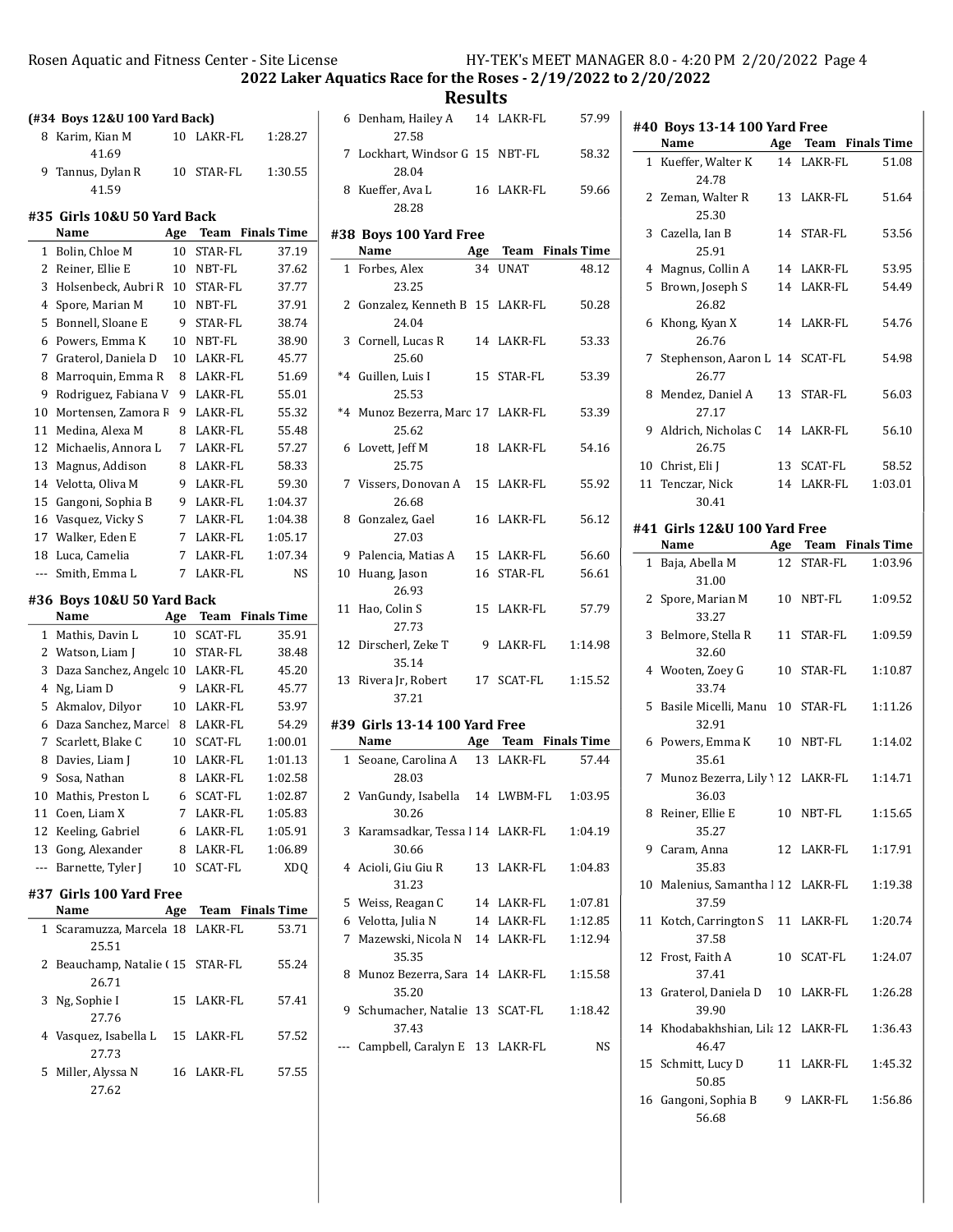Rosen Aquatic and Fitness Center - Site License HY-TEK's MEET MANAGER 8.0 - 4:20 PM 2/20/2022 Page 4

2022 Laker Aquatics Race for the Roses - 2/19/2022 to 2/20/2022

Results

|                | (#34 Boys 12&U 100 Yard Back)           |                 |                    |                         |
|----------------|-----------------------------------------|-----------------|--------------------|-------------------------|
| 8              | Karim, Kian M                           | 10              | LAKR-FL            | 1:28.27                 |
|                | 41.69                                   |                 |                    |                         |
| 9              | Tannus, Dylan R<br>41.59                | 10              | STAR-FL            | 1:30.55                 |
|                | #35 Girls 10&U 50 Yard Back             |                 |                    |                         |
|                | Name                                    | Age             |                    | <b>Team</b> Finals Time |
| 1              | Bolin, Chloe M                          | 10              | <b>STAR-FL</b>     | 37.19                   |
|                | 2 Reiner, Ellie E                       |                 | 10 NBT-FL          | 37.62                   |
|                | 3 Holsenbeck, Aubri R                   |                 | 10 STAR-FL         | 37.77                   |
| 4              | Spore, Marian M                         | 10              | NBT-FL             | 37.91                   |
| 5              | Bonnell, Sloane E                       | 9.              | STAR-FL            | 38.74                   |
| 6              | Powers, Emma K                          | 10              | NBT-FL             | 38.90                   |
| 7              | Graterol, Daniela D                     | 10 <sup>°</sup> | LAKR-FL            | 45.77                   |
| 8              | Marroquin, Emma R                       | 8               | LAKR-FL            | 51.69                   |
| 9              | Rodriguez, Fabiana V                    | 9               | LAKR-FL            | 55.01                   |
| 10             | Mortensen, Zamora F                     | 9               | LAKR-FL            | 55.32                   |
| 11             | Medina, Alexa M                         | 8               | LAKR-FL            | 55.48                   |
| 12             | Michaelis, Annora L                     | $7^{\circ}$     | LAKR-FL            | 57.27                   |
| 13             | Magnus, Addison                         | 8               | LAKR-FL            | 58.33                   |
|                | 14 Velotta, Oliva M                     | 9               | LAKR-FL            | 59.30                   |
| 15             | Gangoni, Sophia B                       | 9               | LAKR-FL            | 1:04.37                 |
| 16             | Vasquez, Vicky S                        | 7               | LAKR-FL            | 1:04.38                 |
| 17             | Walker, Eden E                          | 7               | LAKR-FL            | 1:05.17                 |
| 18             | Luca, Camelia                           | 7               | LAKR-FL            | 1:07.34                 |
| $---$          | Smith, Emma L                           | 7               | LAKR-FL            | <b>NS</b>               |
|                |                                         |                 |                    |                         |
|                | #36 Boys 10&U 50 Yard Back              |                 |                    |                         |
|                |                                         |                 |                    |                         |
|                | Name                                    | Age             |                    | <b>Team</b> Finals Time |
| 1              | Mathis, Davin L                         | 10              | SCAT-FL            | 35.91                   |
|                | 2 Watson, Liam J                        | 10              | STAR-FL            | 38.48                   |
| 3              | Daza Sanchez, Angelc 10                 |                 | LAKR-FL            | 45.20                   |
| $\overline{4}$ | Ng, Liam D                              | 9               | LAKR-FL            | 45.77                   |
| 5              | Akmalov, Dilyor                         | 10              | LAKR-FL            | 53.97                   |
| 6              | Daza Sanchez, Marce 8                   |                 | LAKR-FL            | 54.29                   |
| 7              | Scarlett, Blake C                       | 10              | SCAT-FL<br>LAKR-FL | 1:00.01                 |
| 8              | Davies, Liam J                          | 10              |                    | 1:01.13                 |
|                | 9 Sosa, Nathan                          |                 | 8 LAKR-FL          | 1:02.58                 |
|                | 10 Mathis, Preston L                    | 6<br>7          | SCAT-FL<br>LAKR-FL | 1:02.87                 |
|                | 11 Coen, Liam X                         |                 |                    | 1:05.83                 |
|                | 12 Keeling, Gabriel                     |                 | 6 LAKR-FL          | 1:05.91                 |
|                | 13 Gong, Alexander                      |                 | 8 LAKR-FL          | 1:06.89                 |
|                | --- Barnette, Tyler J                   |                 | 10 SCAT-FL         | XDQ                     |
|                | #37 Girls 100 Yard Free                 |                 |                    |                         |
|                | Name                                    |                 |                    | Age Team Finals Time    |
| 1              | Scaramuzza, Marcela 18 LAKR-FL<br>25.51 |                 |                    | 53.71                   |
| 2              | Beauchamp, Natalie (15 STAR-FL<br>26.71 |                 |                    | 55.24                   |
| 3              | Ng, Sophie I                            | 15              | LAKR-FL            | 57.41                   |
|                | 27.76<br>4 Vasquez, Isabella L<br>27.73 |                 | 15 LAKR-FL         | 57.52                   |

| 6   | Denham, Hailey A<br>27.58                        |    | 14 LAKR-FL           | 57.99   |
|-----|--------------------------------------------------|----|----------------------|---------|
|     | 7 Lockhart, Windsor G 15 NBT-FL<br>28.04         |    |                      | 58.32   |
| 8   | Kueffer, Ava L<br>28.28                          |    | 16 LAKR-FL           | 59.66   |
|     | #38 Boys 100 Yard Free                           |    |                      |         |
|     | Name                                             |    | Age Team Finals Time |         |
|     | 1 Forbes, Alex<br>23.25                          |    | 34 UNAT              | 48.12   |
|     | 2 Gonzalez, Kenneth B 15 LAKR-FL<br>24.04        |    |                      | 50.28   |
|     | 3 Cornell, Lucas R<br>25.60                      |    | 14 LAKR-FL           | 53.33   |
|     | *4 Guillen, Luis I<br>25.53                      |    | 15 STAR-FL           | 53.39   |
|     | *4 Munoz Bezerra, Marc 17 LAKR-FL<br>25.62       |    |                      | 53.39   |
|     | 6 Lovett, Jeff M<br>25.75                        |    | 18 LAKR-FL           | 54.16   |
|     | 7 Vissers, Donovan A 15 LAKR-FL<br>26.68         |    |                      | 55.92   |
|     | 8 Gonzalez, Gael<br>27.03                        |    | 16 LAKR-FL           | 56.12   |
|     | 9 Palencia, Matias A                             |    | 15 LAKR-FL           | 56.60   |
|     | 10 Huang, Jason<br>26.93                         | 16 | STAR-FL              | 56.61   |
| 11  | Hao, Colin S<br>27.73                            | 15 | LAKR-FL              | 57.79   |
| 12  | Dirscherl, Zeke T<br>35.14                       |    | 9 LAKR-FL            | 1:14.98 |
|     | 13 Rivera Jr, Robert<br>37.21                    |    | 17 SCAT-FL           | 1:15.52 |
|     | #39 Girls 13-14 100 Yard Free                    |    |                      |         |
|     | Name $\qquad \qquad$                             |    | Age Team Finals Time |         |
|     | 1 Seoane, Carolina A<br>28.03                    |    | 13 LAKR-FL           | 57.44   |
|     | 2 VanGundy, Isabella 14 LWBM-FL 1:03.95<br>30.26 |    |                      |         |
| 3   | Karamsadkar, Tessa l 14 LAKR-FL<br>30.66         |    |                      | 1:04.19 |
|     | 4 Acioli, Giu Giu R<br>31.23                     | 13 | LAKR-FL              | 1:04.83 |
|     | 5 Weiss, Reagan C                                |    | 14 LAKR-FL           | 1:07.81 |
|     | 6 Velotta, Julia N                               |    | 14 LAKR-FL           | 1:12.85 |
| 7   | Mazewski, Nicola N<br>35.35                      |    | 14 LAKR-FL           | 1:12.94 |
| 8   | Munoz Bezerra, Sara 14 LAKR-FL<br>35.20          |    |                      | 1:15.58 |
| 9   | Schumacher, Natalie 13<br>37.43                  |    | SCAT-FL              | 1:18.42 |
| --- | Campbell, Caralyn E                              |    | 13 LAKR-FL           | NS      |
|     |                                                  |    |                      |         |

|    | #40 Boys 13-14 100 Yard Free<br>Name        |    |            | Age Team Finals Time |
|----|---------------------------------------------|----|------------|----------------------|
|    | 1 Kueffer, Walter K                         |    | 14 LAKR-FL | 51.08                |
|    | 24.78                                       |    |            |                      |
|    | 2 Zeman, Walter R<br>25.30                  |    | 13 LAKR-FL | 51.64                |
| 3  | Cazella, Ian B<br>25.91                     |    | 14 STAR-FL | 53.56                |
| 4  | Magnus, Collin A                            |    | 14 LAKR-FL | 53.95                |
| 5  | Brown, Joseph S<br>26.82                    |    | 14 LAKR-FL | 54.49                |
| 6  | Khong, Kyan X<br>26.76                      |    | 14 LAKR-FL | 54.76                |
| 7  | Stephenson, Aaron L 14 SCAT-FL<br>26.77     |    |            | 54.98                |
| 8  | Mendez, Daniel A<br>27.17                   |    | 13 STAR-FL | 56.03                |
|    | 9 Aldrich, Nicholas C<br>26.75              |    | 14 LAKR-FL | 56.10                |
|    | 10 Christ, Eli J                            | 13 | SCAT-FL    | 58.52                |
|    | 11 Tenczar, Nick                            |    | 14 LAKR-FL | 1:03.01              |
|    | 30.41                                       |    |            |                      |
|    | #41 Girls 12&U 100 Yard Free<br>Name        |    |            | Age Team Finals Time |
|    |                                             |    | 12 STAR-FL | 1:03.96              |
|    | 1 Baja, Abella M<br>31.00                   |    |            |                      |
| 2  | Spore, Marian M<br>33.27                    |    | 10 NBT-FL  | 1:09.52              |
| 3  | Belmore, Stella R<br>32.60                  | 11 | STAR-FL    | 1:09.59              |
|    | 4 Wooten, Zoey G<br>33.74                   |    | 10 STAR-FL | 1:10.87              |
| 5  | Basile Micelli, Manu 10 STAR-FL<br>32.91    |    |            | 1:11.26              |
|    | 6 Powers, Emma K<br>35.61                   |    | 10 NBT-FL  | 1:14.02              |
|    | 7 Munoz Bezerra, Lily 12 LAKR-FL<br>36.03   |    |            | 1:14.71              |
|    | 8 Reiner, Ellie E<br>35.27                  |    |            | 10 NBT-FL 1:15.65    |
|    | 9 Caram, Anna<br>35.83                      |    | 12 LAKR-FL | 1:17.91              |
|    | 10 Malenius, Samantha   12 LAKR-FL<br>37.59 |    |            | 1:19.38              |
|    | 11 Kotch, Carrington S<br>37.58             |    | 11 LAKR-FL | 1:20.74              |
|    | 12 Frost, Faith A<br>37.41                  |    | 10 SCAT-FL | 1:24.07              |
|    | 13 Graterol, Daniela D 10 LAKR-FL<br>39.90  |    |            | 1:26.28              |
|    | 14 Khodabakhshian, Lila 12 LAKR-FL<br>46.47 |    |            | 1:36.43              |
| 15 | Schmitt, Lucy D<br>50.85                    | 11 | LAKR-FL    | 1:45.32              |
|    | 16 Gangoni, Sophia B<br>56.68               |    | 9 LAKR-FL  | 1:56.86              |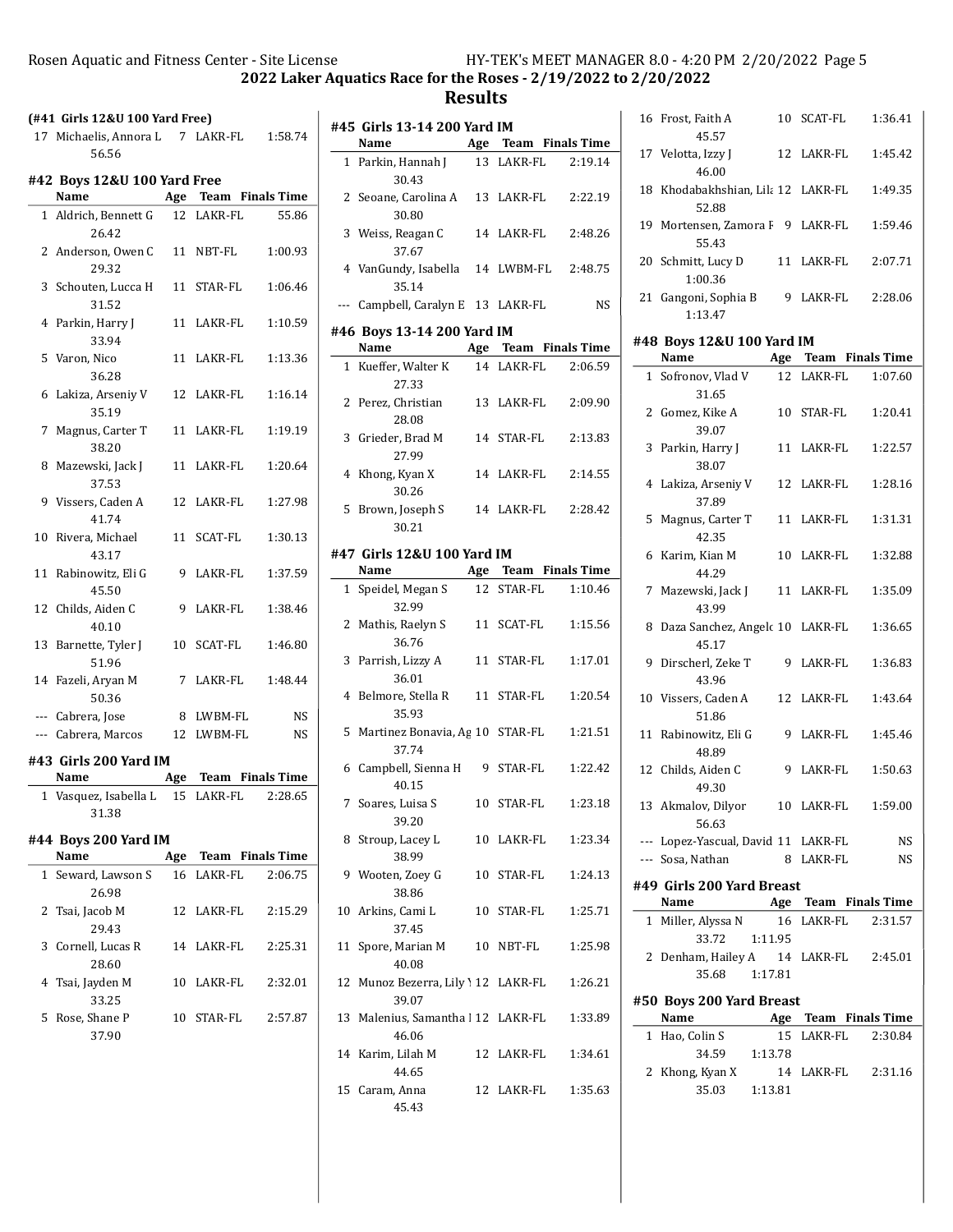$\overline{\phantom{a}}$ 

2022 Laker Aquatics Race for the Roses - 2/19/2022 to 2/20/2022

### Results

| (#41 Girls 12&U 100 Yard Free) |  |
|--------------------------------|--|
|--------------------------------|--|

| 17 Michaelis, Annora L | 7 LAKR-FL | 1:58.74 |
|------------------------|-----------|---------|
| 56.56                  |           |         |

#### #42 Boys 12&U 100 Yard Free

|              | Name                           |    |            | Age Team Finals Time |
|--------------|--------------------------------|----|------------|----------------------|
| $\mathbf{1}$ | Aldrich, Bennett G<br>26.42    | 12 | LAKR-FL    | 55.86                |
|              | 2 Anderson, Owen C<br>29.32    | 11 | NBT-FL     | 1:00.93              |
|              | 3 Schouten, Lucca H<br>31.52   | 11 | STAR-FL    | 1:06.46              |
|              | 4 Parkin, Harry J<br>33.94     |    | 11 LAKR-FL | 1:10.59              |
|              | 5 Varon, Nico<br>36.28         | 11 | LAKR-FL    | 1:13.36              |
|              | 6 Lakiza, Arseniy V<br>35.19   |    | 12 LAKR-FL | 1:16.14              |
| 7            | Magnus, Carter T<br>38.20      | 11 | LAKR-FL    | 1:19.19              |
|              | 8 Mazewski, Jack J<br>37.53    | 11 | LAKR-FL    | 1:20.64              |
|              | 9 Vissers, Caden A<br>41.74    |    | 12 LAKR-FL | 1:27.98              |
|              | 10 Rivera, Michael<br>43.17    |    | 11 SCAT-FL | 1:30.13              |
| 11           | Rabinowitz, Eli G<br>45.50     |    | 9 LAKR-FL  | 1:37.59              |
| 12           | Childs, Aiden C<br>40.10       | 9  | LAKR-FL    | 1:38.46              |
| 13           | Barnette, Tyler J<br>51.96     |    | 10 SCAT-FL | 1:46.80              |
|              | 14 Fazeli, Aryan M<br>50.36    |    | 7 LAKR-FL  | 1:48.44              |
|              | --- Cabrera, Jose              | 8  | LWBM-FL    | <b>NS</b>            |
|              | --- Cabrera, Marcos            | 12 | LWBM-FL    | NS                   |
|              | #43 Girls 200 Yard IM          |    |            |                      |
|              | Name                           |    |            | Age Team Finals Time |
|              | 1 Vasquez, Isabella L<br>31.38 |    |            | 15 LAKR-FL 2:28.65   |
|              | #44 Boys 200 Yard IM           |    |            |                      |
|              | Name                           |    |            | Age Team Finals Time |
|              | 1 Seward, Lawson S<br>26.98    |    | 16 LAKR-FL | 2:06.75              |
| $\mathbf{2}$ | Tsai, Jacob M<br>29.43         |    | 12 LAKR-FL | 2:15.29              |
| 3            | Cornell, Lucas R<br>28.60      | 14 | LAKR-FL    | 2:25.31              |
| 4            | Tsai, Jayden M<br>33.25        | 10 | LAKR-FL    | 2:32.01              |
| 5            | Rose, Shane P<br>37.90         | 10 | STAR-FL    | 2:57.87              |

|              | #45 Girls 13-14 200 Yard IM<br>Name         |    |            | Age Team Finals Time |
|--------------|---------------------------------------------|----|------------|----------------------|
| 1            |                                             | 13 | LAKR-FL    | 2:19.14              |
|              | Parkin, Hannah J<br>30.43                   |    |            |                      |
|              | 2 Seoane, Carolina A<br>30.80               |    | 13 LAKR-FL | 2:22.19              |
|              | 3 Weiss, Reagan C<br>37.67                  |    | 14 LAKR-FL | 2:48.26              |
|              | 4 VanGundy, Isabella<br>35.14               |    | 14 LWBM-FL | 2:48.75              |
| $---$        | Campbell, Caralyn E 13 LAKR-FL              |    |            | NS                   |
|              | #46 Boys 13-14 200 Yard IM<br><b>Name</b>   |    |            | Age Team Finals Time |
|              |                                             |    |            |                      |
|              | 1 Kueffer, Walter K<br>27.33                |    |            | 14 LAKR-FL 2:06.59   |
| 2            | Perez, Christian<br>28.08                   |    | 13 LAKR-FL | 2:09.90              |
| 3            | Grieder, Brad M<br>27.99                    |    | 14 STAR-FL | 2:13.83              |
|              | 4 Khong, Kyan X<br>30.26                    |    | 14 LAKR-FL | 2:14.55              |
| 5            | Brown, Joseph S<br>30.21                    |    | 14 LAKR-FL | 2:28.42              |
|              | #47 Girls 12&U 100 Yard IM<br>Name          |    |            | Age Team Finals Time |
| $\mathbf{1}$ | Speidel, Megan S                            |    | 12 STAR-FL | 1:10.46              |
|              | 32.99<br>2 Mathis, Raelyn S                 |    | 11 SCAT-FL | 1:15.56              |
| 3            | 36.76<br>Parrish, Lizzy A                   |    | 11 STAR-FL | 1:17.01              |
| 4            | 36.01<br>Belmore, Stella R                  |    | 11 STAR-FL | 1:20.54              |
| 5            | 35.93<br>Martinez Bonavia, Ag 10 STAR-FL    |    |            | 1:21.51              |
| 6            | 37.74<br>Campbell, Sienna H                 |    | 9 STAR-FL  | 1:22.42              |
| $7^{\circ}$  | 40.15<br>Soares, Luisa S                    |    | 10 STAR-FL | 1:23.18              |
| 8.           | 39.20<br>Stroup, Lacey L                    |    | 10 LAKR-FL | 1:23.34              |
|              | 38.99<br>9 Wooten, Zoey G                   |    | 10 STAR-FL | 1:24.13              |
|              | 38.86<br>10 Arkins, Cami L                  |    | 10 STAR-FL | 1:25.71              |
| 11           | 37.45<br>Spore, Marian M                    |    | 10 NBT-FL  | 1:25.98              |
|              | 40.08                                       |    |            |                      |
| 12           | Munoz Bezerra, Lily 12 LAKR-FL<br>39.07     |    |            | 1:26.21              |
|              | 13 Malenius, Samantha   12 LAKR-FL<br>46.06 |    |            | 1:33.89              |
|              | 14 Karim, Lilah M<br>44.65                  |    | 12 LAKR-FL | 1:34.61              |
| 15           | Caram, Anna<br>45.43                        |    | 12 LAKR-FL | 1:35.63              |

|    | 16 Frost, Faith A<br>45.57                                                    |    | 10 SCAT-FL           | 1:36.41 |
|----|-------------------------------------------------------------------------------|----|----------------------|---------|
|    | 17 Velotta, Izzy J<br>46.00                                                   |    | 12 LAKR-FL           | 1:45.42 |
| 18 | Khodabakhshian, Lila 12 LAKR-FL<br>52.88                                      |    |                      | 1:49.35 |
| 19 | Mortensen, Zamora F 9 LAKR-FL<br>55.43                                        |    |                      | 1:59.46 |
|    | 20 Schmitt, Lucy D<br>1:00.36                                                 |    | 11 LAKR-FL           | 2:07.71 |
|    | 21 Gangoni, Sophia B<br>1:13.47                                               |    | 9 LAKR-FL            | 2:28.06 |
|    |                                                                               |    |                      |         |
|    | #48 Boys 12&U 100 Yard IM                                                     |    |                      |         |
|    | Name                                                                          |    | Age Team Finals Time |         |
| 1  | Sofronov, Vlad V<br>31.65                                                     | 12 | LAKR-FL              | 1:07.60 |
|    | 2 Gomez, Kike A<br>39.07                                                      |    | 10 STAR-FL           | 1:20.41 |
| 3  | Parkin, Harry J<br>38.07                                                      |    | 11 LAKR-FL           | 1:22.57 |
|    | 4 Lakiza, Arseniy V<br>37.89                                                  |    | 12 LAKR-FL           | 1:28.16 |
| 5  | Magnus, Carter T<br>42.35                                                     |    | 11 LAKR-FL           | 1:31.31 |
| 6  | Karim, Kian M<br>44.29                                                        |    | 10 LAKR-FL           | 1:32.88 |
| 7  | Mazewski, Jack J<br>43.99                                                     |    | 11 LAKR-FL           | 1:35.09 |
| 8  | Daza Sanchez, Angelc 10 LAKR-FL<br>45.17                                      |    |                      | 1:36.65 |
| 9  | Dirscherl, Zeke T<br>43.96                                                    |    | 9 LAKR-FL            | 1:36.83 |
|    | 10 Vissers, Caden A<br>51.86                                                  |    | 12 LAKR-FL           | 1:43.64 |
|    | 11 Rabinowitz, Eli G<br>48.89                                                 |    | 9 LAKR-FL            | 1:45.46 |
|    | 12 Childs, Aiden C<br>49.30                                                   | 9  | LAKR-FL              | 1:50.63 |
|    | 13 Akmalov, Dilyor<br>56.63                                                   |    | 10 LAKR-FL           | 1:59.00 |
|    | --- Lopez-Yascual, David 11 LAKR-FL                                           |    |                      | NS      |
|    | --- Sosa, Nathan                                                              |    | 8 LAKR-FL            | NS      |
|    | #49  Girls 200 Yard Breast<br><b>Age Team Finals Time</b><br>Name             |    |                      |         |
|    |                                                                               |    |                      |         |
|    | 1 Miller, Alyssa N                                                            |    | 16 LAKR-FL 2:31.57   |         |
|    | 33.72<br>1:11.95<br>2 Denham, Hailey A 14 LAKR-FL 2:45.01<br>35.68<br>1:17.81 |    |                      |         |
|    |                                                                               |    |                      |         |
|    | #50 Boys 200 Yard Breast                                                      |    |                      |         |
|    | Name                                                                          |    | Age Team Finals Time |         |
|    | 1 Hao, Colin S                                                                |    | 15 LAKR-FL 2:30.84   |         |
|    | 34.59 1:13.78                                                                 |    |                      |         |
|    | 2 Khong, Kyan X                                                               |    |                      |         |

35.03 1:13.81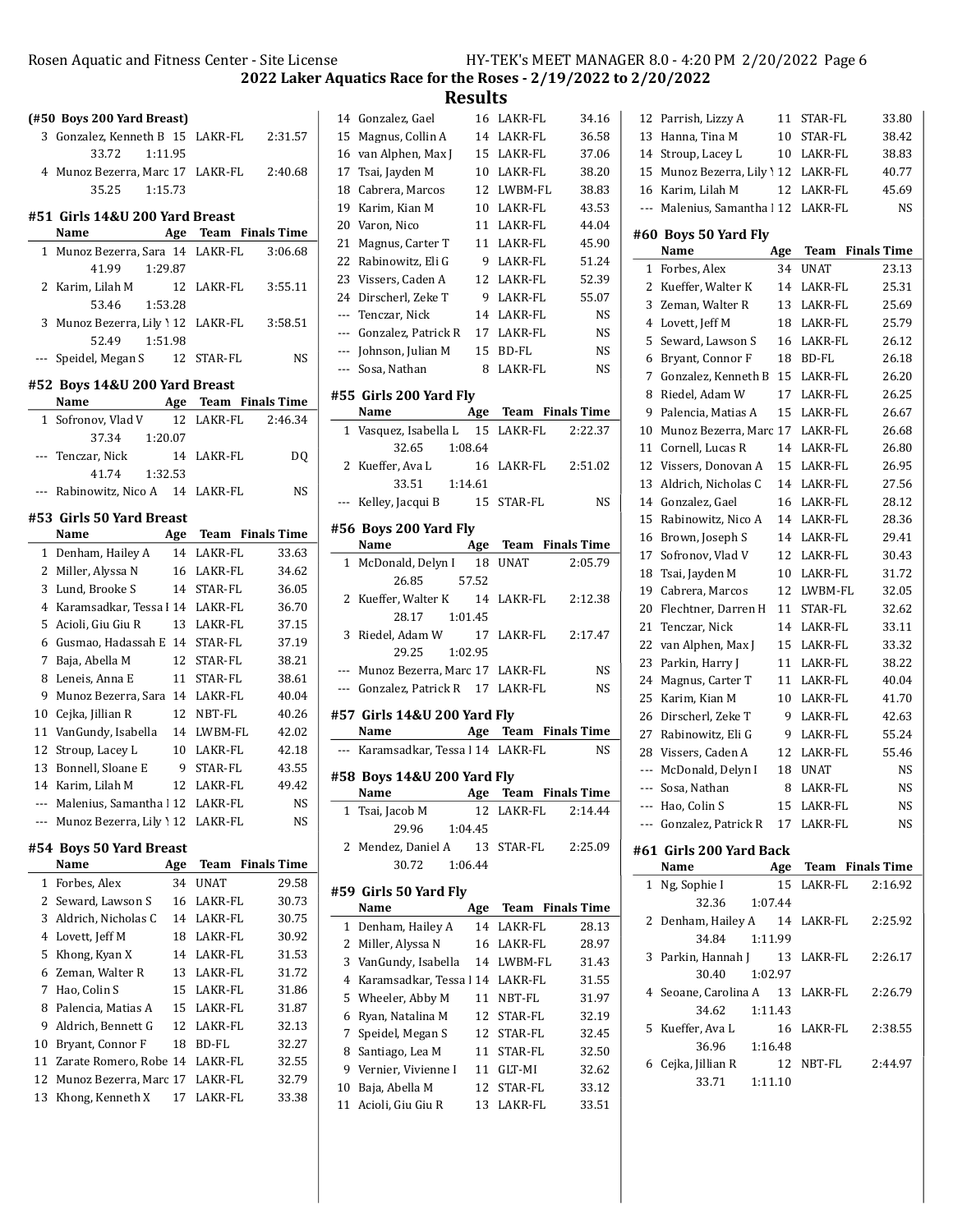# Rosen Aquatic and Fitness Center - Site License HY-TEK's MEET MANAGER 8.0 - 4:20 PM 2/20/2022 Page 6

2022 Laker Aquatics Race for the Roses - 2/19/2022 to 2/20/2022

**Results**<br>16 LAKR-FL

|                | (#50 Boys 200 Yard Breast)                                       |          |                      |                    |
|----------------|------------------------------------------------------------------|----------|----------------------|--------------------|
|                | 3 Gonzalez, Kenneth B 15 LAKR-FL                                 |          |                      | 2:31.57            |
|                | 33.72<br>1:11.95                                                 |          |                      |                    |
| 4              | Munoz Bezerra, Marc 17 LAKR-FL                                   |          |                      | 2:40.68            |
|                | 35.25<br>1:15.73                                                 |          |                      |                    |
|                | #51 Girls 14&U 200 Yard Breast                                   |          |                      |                    |
|                | Name                                                             |          | Age Team Finals Time |                    |
| $1\,$          | Munoz Bezerra, Sara 14 LAKR-FL                                   |          |                      | 3:06.68            |
|                | 41.99<br>1:29.87                                                 |          |                      |                    |
| 2              | Karim, Lilah M                                                   | 12       | LAKR-FL              | 3:55.11            |
|                | 53.46<br>1:53.28                                                 |          |                      |                    |
| 3              | Munoz Bezerra, Lily 12 LAKR-FL                                   |          |                      | 3:58.51            |
|                | 1:51.98<br>52.49                                                 |          |                      |                    |
| ---            | Speidel, Megan S 12 STAR-FL                                      |          |                      | NS                 |
|                |                                                                  |          |                      |                    |
|                | #52 Boys 14&U 200 Yard Breast<br>Name                            |          | Age Team Finals Time |                    |
| $\mathbf{1}$   | Sofronov, Vlad V                                                 | 12       | LAKR-FL              | 2:46.34            |
|                | 37.34<br>1:20.07                                                 |          |                      |                    |
| $---$          | Tenczar, Nick                                                    | 14       | LAKR-FL              | DQ                 |
|                | 41.74<br>1:32.53                                                 |          |                      |                    |
| $---$          | Rabinowitz, Nico A 14 LAKR-FL                                    |          |                      | NS                 |
|                |                                                                  |          |                      |                    |
|                | #53 Girls 50 Yard Breast                                         |          |                      |                    |
|                | Name                                                             |          | Age Team Finals Time |                    |
| $\mathbf{1}$   | Denham, Hailey A                                                 |          | 14 LAKR-FL           | 33.63              |
| $\mathbf{2}$   | Miller, Alyssa N                                                 |          | 16 LAKR-FL           | 34.62              |
| 3              | Lund, Brooke S                                                   |          | 14 STAR-FL           | 36.05              |
| $\overline{4}$ | Karamsadkar, Tessa   14 LAKR-FL                                  |          |                      | 36.70              |
| 5              | Acioli, Giu Giu R                                                |          | 13 LAKR-FL           | 37.15              |
| 6              | Gusmao, Hadassah E 14 STAR-FL                                    |          |                      | 37.19              |
| 7              | Baja, Abella M                                                   | 12       | STAR-FL              | 38.21              |
| 8<br>9         | Leneis, Anna E<br>Munoz Bezerra, Sara 14 LAKR-FL                 | 11       | STAR-FL              | 38.61<br>40.04     |
| 10             |                                                                  |          | 12 NBT-FL            | 40.26              |
| 11             | Cejka, Jillian R<br>VanGundy, Isabella                           |          | 14 LWBM-FL           | 42.02              |
| 12             | Stroup, Lacey L                                                  |          | 10 LAKR-FL           | 42.18              |
| 13             | Bonnell, Sloane E                                                |          | 9 STAR-FL            | 43.55              |
| 14             | Karim, Lilah M                                                   |          | 12 LAKR-FL           | 49.42              |
|                | --- Malenius, Samantha   12 LAKR-FL                              |          |                      | NS                 |
|                | Munoz Bezerra, Lily 12 LAKR-FL                                   |          |                      | NS                 |
|                |                                                                  |          |                      |                    |
|                | #54 Boys 50 Yard Breast                                          |          |                      |                    |
|                | Name                                                             | Age      | Team                 | <b>Finals Time</b> |
| 1              | Forbes, Alex                                                     | 34       | UNAT                 | 29.58              |
| 2<br>3         | Seward, Lawson S                                                 | 16       | LAKR-FL<br>LAKR-FL   | 30.73<br>30.75     |
|                | Aldrich, Nicholas C<br>Lovett, Jeff M                            | 14       |                      |                    |
| 4              |                                                                  | 18       | LAKR-FL              | 30.92              |
| 5<br>6         | Khong, Kyan X<br>Zeman, Walter R                                 | 14<br>13 | LAKR-FL<br>LAKR-FL   | 31.53<br>31.72     |
| 7              | Hao, Colin S                                                     | 15       | LAKR-FL              |                    |
| 8              | Palencia, Matias A                                               | 15       | LAKR-FL              | 31.86              |
| 9              | Aldrich, Bennett G                                               | 12       | LAKR-FL              | 31.87<br>32.13     |
| 10             | Bryant, Connor F                                                 | 18       | BD-FL                | 32.27              |
|                |                                                                  |          |                      |                    |
| 11<br>12       | Zarate Romero, Robe 14 LAKR-FL<br>Munoz Bezerra, Marc 17 LAKR-FL |          |                      | 32.55<br>32.79     |
| 13             | Khong, Kenneth X                                                 | 17       | LAKR-FL              | 33.38              |
|                |                                                                  |          |                      |                    |
|                |                                                                  |          |                      |                    |

|              | 14 Gonzalez, Gael                   | 16      | LAKR-FL              | 34.16              |
|--------------|-------------------------------------|---------|----------------------|--------------------|
|              | 15 Magnus, Collin A                 |         | 14 LAKR-FL           | 36.58              |
|              | 16 van Alphen, Max J                |         | 15 LAKR-FL           | 37.06              |
|              | 17 Tsai, Jayden M                   |         | 10 LAKR-FL           | 38.20              |
| 18           | Cabrera, Marcos                     |         | 12 LWBM-FL           | 38.83              |
|              | 19 Karim, Kian M                    |         | 10 LAKR-FL           | 43.53              |
| 20           | Varon, Nico                         | 11      | LAKR-FL              | 44.04              |
| 21           | Magnus, Carter T                    | 11      | LAKR-FL              | 45.90              |
|              | 22 Rabinowitz, Eli G                | 9       | LAKR-FL              | 51.24              |
| 23           | Vissers, Caden A                    |         | 12 LAKR-FL           | 52.39              |
|              | 24 Dirscherl, Zeke T                |         | 9 LAKR-FL            | 55.07              |
|              | --- Tenczar, Nick                   |         | 14 LAKR-FL           | <b>NS</b>          |
|              | --- Gonzalez, Patrick R             |         | 17 LAKR-FL           | NS                 |
|              | --- Johnson, Julian M               |         | 15 BD-FL             | <b>NS</b>          |
| ---          | Sosa, Nathan                        | 8       | LAKR-FL              | <b>NS</b>          |
|              |                                     |         |                      |                    |
|              | #55 Girls 200 Yard Fly<br>Name      |         | Age Team Finals Time |                    |
|              | 1 Vasquez, Isabella L               |         | 15 LAKR-FL           | 2:22.37            |
|              | 32.65                               | 1:08.64 |                      |                    |
|              | 2 Kueffer, Ava L                    | 16      | LAKR-FL              | 2:51.02            |
|              | 33.51                               | 1:14.61 |                      |                    |
| ---          | Kelley, Jacqui B                    |         | 15 STAR-FL           | <b>NS</b>          |
|              |                                     |         |                      |                    |
|              | #56 Boys 200 Yard Fly               |         |                      |                    |
|              | Name                                | Age     | Team Finals Time     |                    |
| $\mathbf{1}$ | McDonald, Delyn I                   | 18      | UNAT                 | 2:05.79            |
|              | 26.85                               | 57.52   |                      |                    |
|              | 2 Kueffer, Walter K                 | 14      | LAKR-FL              | 2:12.38            |
|              | 28.17 1:01.45                       |         |                      |                    |
| 3            | Riedel, Adam W                      |         | 17 LAKR-FL           | 2:17.47            |
|              | 29.25                               | 1:02.95 |                      |                    |
|              | --- Munoz Bezerra, Marc 17 LAKR-FL  |         |                      | NS                 |
|              | --- Gonzalez, Patrick R 17 LAKR-FL  |         |                      | NS                 |
|              | #57 Girls 14&U 200 Yard Fly         |         |                      |                    |
|              | Name                                |         | Age Team Finals Time |                    |
|              | --- Karamsadkar, Tessa l 14 LAKR-FL |         |                      | NS                 |
|              | #58 Boys 14&U 200 Yard Fly          |         |                      |                    |
|              | Name                                |         | Age Team Finals Time |                    |
| 1            | Tsai, Jacob M                       | 12      | LAKR-FL              | 2:14.44            |
|              | 29.96                               | 1:04.45 |                      |                    |
| 2            | Mendez, Daniel A                    | 13      | STAR-FL              | 2:25.09            |
|              | 30.72                               | 1:06.44 |                      |                    |
|              |                                     |         |                      |                    |
|              | #59 Girls 50 Yard Fly               |         |                      |                    |
|              | Name                                | Age     | Team                 | <b>Finals Time</b> |
| 1            | Denham, Hailey A                    | 14      | LAKR-FL              | 28.13              |
| 2            | Miller, Alyssa N                    | 16      | LAKR-FL              | 28.97              |
| 3            | VanGundy, Isabella                  | 14      | LWBM-FL              | 31.43              |
| 4            | Karamsadkar. Tessa 114              |         | LAKR-FL              | 31.55              |
| 5            | Wheeler, Abby M                     | 11      | NBT-FL               | 31.97              |
| 6            | Ryan, Natalina M                    | 12      | STAR-FL              | 32.19              |
| 7            | Speidel, Megan S                    | 12      | STAR-FL              | 32.45              |
| 8            | Santiago, Lea M                     | 11      | STAR-FL              | 32.50              |
| 9            | Vernier, Vivienne I                 | 11      | GLT-MI               | 32.62              |

10 Baja, Abella M 12 STAR-FL 33.12 11 Acioli, Giu Giu R 13 LAKR-FL 33.51

| 12  | Parrish, Lizzy A                   | 11  | STAR-FL          | 33.80              |
|-----|------------------------------------|-----|------------------|--------------------|
| 13  | Hanna, Tina M                      | 10  | STAR-FL          | 38.42              |
| 14  | Stroup, Lacey L                    | 10  | LAKR-FL          | 38.83              |
| 15  | Munoz Bezerra, Lily 12             |     | LAKR-FL          | 40.77              |
| 16  | Karim, Lilah M                     | 12  | LAKR-FL          | 45.69              |
| --- | Malenius, Samantha 1 12            |     | LAKR-FL          | <b>NS</b>          |
|     |                                    |     |                  |                    |
|     | #60 Boys 50 Yard Fly<br>Name       | Age | Team             | <b>Finals Time</b> |
| 1   | Forbes, Alex                       | 34  | <b>UNAT</b>      | 23.13              |
| 2   | Kueffer, Walter K                  | 14  | LAKR-FL          | 25.31              |
| 3   | Zeman, Walter R                    | 13  | LAKR-FL          | 25.69              |
| 4   | Lovett, Jeff M                     | 18  | LAKR-FL          | 25.79              |
| 5   | Seward, Lawson S                   | 16  | LAKR-FL          | 26.12              |
| 6   | Bryant, Connor F                   | 18  | BD-FL            | 26.18              |
| 7   | Gonzalez, Kenneth B                | 15  | LAKR-FL          | 26.20              |
| 8   | Riedel, Adam W                     | 17  | LAKR-FL          | 26.25              |
| 9   | Palencia, Matias A                 | 15  | LAKR-FL          | 26.67              |
| 10  | Munoz Bezerra, Marc 17             |     | LAKR-FL          | 26.68              |
| 11  | Cornell, Lucas R                   | 14  | LAKR-FL          | 26.80              |
| 12  | Vissers, Donovan A                 | 15  | LAKR-FL          | 26.95              |
| 13  | Aldrich, Nicholas C                | 14  | LAKR-FL          | 27.56              |
| 14  | Gonzalez, Gael                     | 16  | LAKR-FL          | 28.12              |
| 15  | Rabinowitz, Nico A                 | 14  | LAKR-FL          | 28.36              |
| 16  | Brown, Joseph S                    | 14  | LAKR-FL          | 29.41              |
| 17  | Sofronov, Vlad V                   | 12  | LAKR-FL          | 30.43              |
| 18  | Tsai, Jayden M                     | 10  | LAKR-FL          | 31.72              |
| 19  | Cabrera, Marcos                    | 12  | LWBM-FL          | 32.05              |
| 20  | Flechtner, Darren H                | 11  | STAR-FL          | 32.62              |
| 21  | Tenczar, Nick                      | 14  | LAKR-FL          | 33.11              |
| 22  | van Alphen, Max J                  | 15  | LAKR-FL          | 33.32              |
| 23  | Parkin, Harry J                    | 11  | LAKR-FL          | 38.22              |
| 24  | Magnus, Carter T                   | 11  | LAKR-FL          | 40.04              |
| 25  | Karim, Kian M                      | 10  | LAKR-FL          | 41.70              |
| 26  | Dirscherl, Zeke T                  | 9   | LAKR-FL          | 42.63              |
| 27  | Rabinowitz, Eli G                  | 9   | LAKR-FL          | 55.24              |
| 28  | Vissers, Caden A                   | 12  | LAKR-FL          | 55.46              |
| --- | McDonald, Delyn I                  | 18  | UNAT             | <b>NS</b>          |
| --- | Sosa, Nathan                       | 8   | LAKR-FL          | NS                 |
| --- | Hao, Colin S                       | 15  | LAKR-FL          | NS                 |
|     | --- Gonzalez, Patrick R 17 LAKR-FL |     |                  | NS                 |
|     |                                    |     |                  |                    |
|     | #61 Girls 200 Yard Back            |     |                  |                    |
|     | Name                               | Age | Team Finals Time |                    |
| 1   | Ng, Sophie I                       | 15  | LAKR-FL          | 2:16.92            |
|     | 32.36 1:07.44                      |     |                  |                    |
| 2   | Denham, Hailey A 14                |     | LAKR-FL          | 2:25.92            |
|     | 34.84<br>1:11.99                   |     |                  |                    |
| 3   | Parkin, Hannah J                   | 13  | LAKR-FL          | 2:26.17            |
|     | 30.40<br>1:02.97                   |     |                  |                    |
| 4   | Seoane, Carolina A 13              |     | LAKR-FL          | 2:26.79            |
|     | 34.62<br>1:11.43                   |     |                  |                    |
| 5   | Kueffer, Ava L                     | 16  | LAKR-FL          | 2:38.55            |
|     | 36.96<br>1:16.48                   |     |                  |                    |
| 6   | Cejka, Jillian R                   | 12  | NBT-FL           | 2:44.97            |
|     | 33.71<br>1:11.10                   |     |                  |                    |